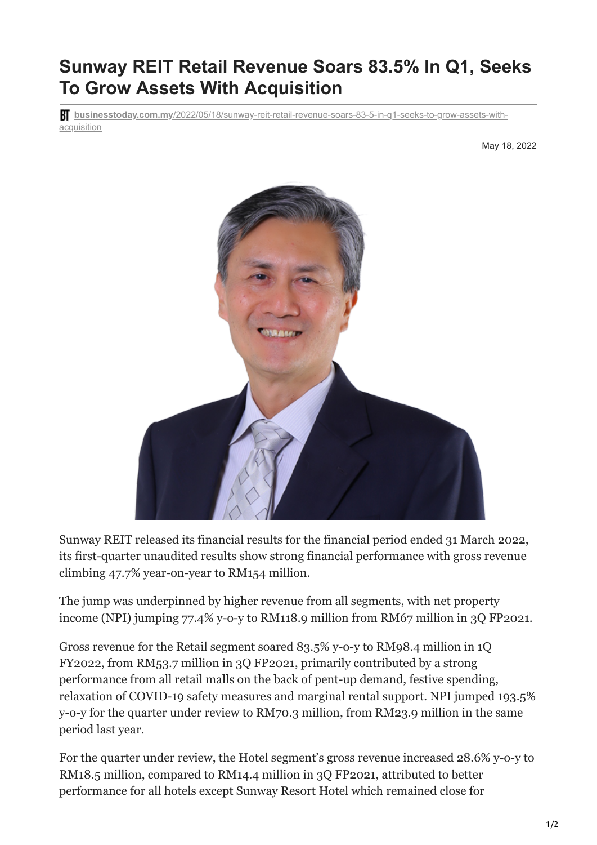## **Sunway REIT Retail Revenue Soars 83.5% In Q1, Seeks To Grow Assets With Acquisition**

**businesstoday.com.my**[/2022/05/18/sunway-reit-retail-revenue-soars-83-5-in-q1-seeks-to-grow-assets-with](https://www.businesstoday.com.my/2022/05/18/sunway-reit-retail-revenue-soars-83-5-in-q1-seeks-to-grow-assets-with-acquisition/)acquisition

May 18, 2022



Sunway REIT released its financial results for the financial period ended 31 March 2022, its first-quarter unaudited results show strong financial performance with gross revenue climbing 47.7% year-on-year to RM154 million.

The jump was underpinned by higher revenue from all segments, with net property income (NPI) jumping 77.4% y-o-y to RM118.9 million from RM67 million in 3Q FP2021.

Gross revenue for the Retail segment soared 83.5% y-o-y to RM98.4 million in 1Q FY2022, from RM53.7 million in 3Q FP2021, primarily contributed by a strong performance from all retail malls on the back of pent-up demand, festive spending, relaxation of COVID-19 safety measures and marginal rental support. NPI jumped 193.5% y-o-y for the quarter under review to RM70.3 million, from RM23.9 million in the same period last year.

For the quarter under review, the Hotel segment's gross revenue increased 28.6% y-o-y to RM18.5 million, compared to RM14.4 million in 3Q FP2021, attributed to better performance for all hotels except Sunway Resort Hotel which remained close for